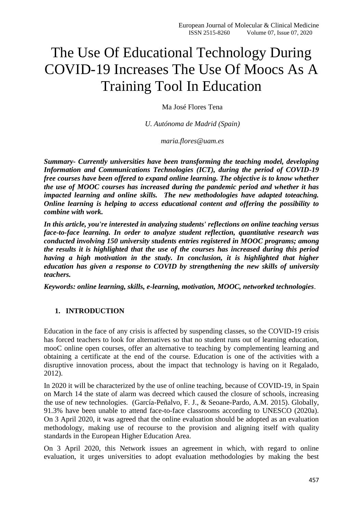# The Use Of Educational Technology During COVID-19 Increases The Use Of Moocs As A Training Tool In Education

Ma José Flores Tena

*U. Autónoma de Madrid (Spain)*

*[maria.flores@uam.es](mailto:maria.flores@uam.es)*

*Summary- Currently universities have been transforming the teaching model, developing Information and Communications Technologies (ICT), during the period of COVID-19 free courses have been offered to expand online learning. The objective is to know whether the use of MOOC courses has increased during the pandemic period and whether it has impacted learning and online skills. The new methodologies have adapted toteaching. Online learning is helping to access educational content and offering the possibility to combine with work.*

*In this article, you're interested in analyzing students' reflections on online teaching versus face-to-face learning. In order to analyze student reflection, quantitative research was conducted involving 150 university students entries registered in MOOC programs; among the results it is highlighted that the use of the courses has increased during this period having a high motivation in the study. In conclusion, it is highlighted that higher education has given a response to COVID by strengthening the new skills of university teachers.*

*Keywords: online learning, skills, e-learning, motivation, MOOC, networked technologies*.

## **1. INTRODUCTION**

Education in the face of any crisis is affected by suspending classes, so the COVID-19 crisis has forced teachers to look for alternatives so that no student runs out of learning education, mooC online open courses, offer an alternative to teaching by complementing learning and obtaining a certificate at the end of the course. Education is one of the activities with a disruptive innovation process, about the impact that technology is having on it Regalado, 2012).

In 2020 it will be characterized by the use of online teaching, because of COVID-19, in Spain on March 14 the state of alarm was decreed which caused the closure of schools, increasing the use of new technologies. (García-Peñalvo, F. J., & Seoane-Pardo, A.M. 2015). Globally, 91.3% have been unable to attend face-to-face classrooms according to UNESCO (2020a). On 3 April 2020, it was agreed that the online evaluation should be adopted as an evaluation methodology, making use of recourse to the provision and aligning itself with quality standards in the European Higher Education Area.

On 3 April 2020, this Network issues an agreement in which, with regard to online evaluation, it urges universities to adopt evaluation methodologies by making the best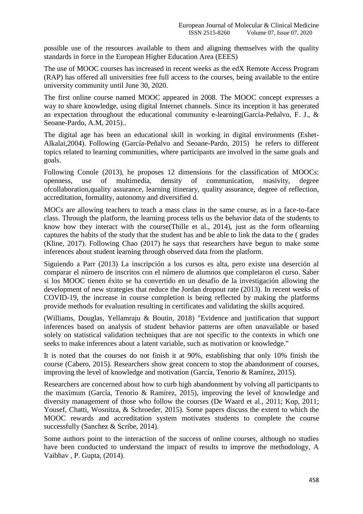possible use of the resources available to them and aligning themselves with the quality standards in force in the European Higher Education Area (EEES)

The use of MOOC courses has increased in recent weeks as the edX Remote Access Program (RAP) has offered all universities free full access to the courses, being available to the entire university community until June 30, 2020.

The first online course named MOOC appeared in 2008. The MOOC concept expresses a way to share knowledge, using digital Internet channels. Since its inception it has generated an expectation throughout the educational community e-learning(García-Peñalvo, F. J., & Seoane-Pardo, A.M, 2015)..

The digital age has been an educational skill in working in digital environments (Eshet-Alkalai,2004). Following (García-Peñalvo and Seoane-Pardo, 2015) he refers to different topics related to learning communities, where participants are involved in the same goals and goals.

Following Conole (2013), he proposes 12 dimensions for the classification of MOOCs: openness, use of multimedia, density of communication, masivity, degree ofcollaboration,quality assurance, learning itinerary, quality assurance, degree of reflection, accreditation, formality, autonomy and diversified d.

MOCs are allowing teachers to teach a mass class in the same course, as in a face-to-face class. Through the platform, the learning process tells us the behavior data of the students to know how they interact with the cours[e\(Thille et al., 2014\)](https://www.sciencedirect.com/science/article/pii/S0360131520300312?via%3Dihub#bib75), just as the form oflearning captures the habits of the study that the student has and be able to link the data to the ( grades (Kline, 2017). Following Chao (2017) he says that researchers have begun to make some inferences about student learning through observed data from the platform.

Siguiendo a Parr (2013) La inscripción a los cursos es alta, pero existe una deserción al comparar el número de inscritos con el número de alumnos que completaron el curso. Saber si los MOOC tienen éxito se ha convertido en un desafío de la investigación allowing the development of new strategies that reduce the Jordan dropout rate (2013). In recent weeks of COVID-19, the increase in course completion is being reflected by making the platforms provide methods for evaluation resulting in certificates and validating the skills acquired.

[\(Williams, Douglas, Yellamraju & Boutin, 2018\)](https://www.sciencedirect.com/science/article/pii/S0360131520300312?via%3Dihub#bib79) "Evidence and justification that support inferences based on analysis of student behavior patterns are often unavailable or based solely on statistical validation techniques that are not specific to the contexts in which one seeks to make inferences about a latent variable, such as motivation or knowledge."

It is noted that the courses do not finish it at 90%, establishing that only 10% finish the course (Cabero, 2015). Researchers show great concern to stop the abandonment of courses, improving the level of knowledge and motivation (García, Tenorio & Ramírez, 2015).

Researchers are concerned about how to curb high abandonment by volving all participants to the maximum (García, Tenorio & Ramírez, 2015), improving the level of knowledge and diversity management of those who follow the courses (De Waard et al., 2011; Kop, 2011; Yousef, Chatti, Wosnitza, & Schroeder, 2015). Some papers discuss the extent to which the MOOC rewards and accreditation system motivates students to complete the course successfully (Sanchez & Scribe, 2014).

Some authors point to the interaction of the success of online courses, although no studies have been conducted to understand the impact of results to improve the methodology, A Vaibhav , P. Gupta, (2014).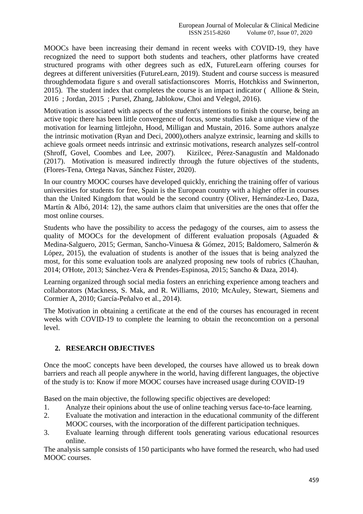MOOCs have been increasing their demand in recent weeks with COVID-19, they have recognized the need to support both students and teachers, other platforms have created structured programs with other degrees such as edX, FutureLearn offering courses for degrees at different universities (FutureLearn, 2019). Student and course success is measured throughdemodata figure s and overall satisfactionscores [Morris, Hotchkiss and Swinnerton,](https://www.sciencedirect.com/science/article/pii/S0360131520300312?via%3Dihub#bib58)  [2015\).](https://www.sciencedirect.com/science/article/pii/S0360131520300312?via%3Dihub#bib58) The student index that completes the course is an impact indicator ( [Allione & Stein,](https://www.sciencedirect.com/science/article/pii/S0360131520300312?via%3Dihub#bib1)  [2016](https://www.sciencedirect.com/science/article/pii/S0360131520300312?via%3Dihub#bib1) ; [Jordan, 2015](https://www.sciencedirect.com/science/article/pii/S0360131520300312?via%3Dihub#bib38) ; [Pursel, Zhang, Jablokow, Choi and Velegol, 2016\).](https://www.sciencedirect.com/science/article/pii/S0360131520300312?via%3Dihub#bib62)

Motivation is associated with aspects of the student's intentions to finish the course, being an active topic there has been little convergence of focus, some studies take a unique view of the motivation for [learning littlejohn, Hood, Milligan and Mustain, 2016.](https://www.sciencedirect.com/science/article/pii/S0360131520300312?via%3Dihub#bib51) Some authors analyze the intrinsic motivation (Ryan [and Deci, 2000\),others analyze extrinsic, learning and skills to](https://www.sciencedirect.com/science/article/pii/S0360131520300312?via%3Dihub#bib68)  [achieve goals orm](https://www.sciencedirect.com/science/article/pii/S0360131520300312?via%3Dihub#bib68)eet needs intrinsic and extrinsic motivations, research analyzes self-control [\(Shroff, Govel, Coombes and Lee, 2007\).](https://www.sciencedirect.com/science/article/pii/S0360131520300312?via%3Dihub#bib71) [Kizilcec, Pérez-Sanagustín and Maldonado](https://www.sciencedirect.com/science/article/pii/S0360131520300312?via%3Dihub#bib91)  [\(2017\).](https://www.sciencedirect.com/science/article/pii/S0360131520300312?via%3Dihub#bib91) Motivation is measured indirectly through the future objectives of the students, (Flores-Tena, Ortega Navas, Sánchez Fúster, 2020).

In our country MOOC courses have developed quickly, enriching the training offer of various universities for students for free, Spain is the European country with a higher offer in courses than the United Kingdom that would be the second country (Oliver, Hernández-Leo, Daza, Martín  $\&$  Albó, 2014: 12), the same authors claim that universities are the ones that offer the most online courses.

Students who have the possibility to access the pedagogy of the courses, aim to assess the quality of MOOCs for the development of different evaluation proposals (Aguaded & Medina-Salguero, 2015; German, Sancho-Vinuesa & Gómez, 2015; Baldomero, Salmerón & López, 2015), the evaluation of students is another of the issues that is being analyzed the most, for this some evaluation tools are analyzed proposing new tools of rubrics (Chauhan, 2014; O'Hote, 2013; Sánchez-Vera & Prendes-Espinosa, 2015; Sancho & Daza, 2014).

Learning organized through social media fosters an enriching experience among teachers and collaborators (Mackness, S. Mak, and R. Williams, 2010; McAuley, Stewart, Siemens and Cormier A, 2010; García-Peñalvo et al., 2014).

The Motivation in obtaining a certificate at the end of the courses has encouraged in recent weeks with COVID-19 to complete the learning to obtain the reconcomtion on a personal level.

## **2. RESEARCH OBJECTIVES**

Once the mooC concepts have been developed, the courses have allowed us to break down barriers and reach all people anywhere in the world, having different languages, the objective of the study is to: Know if more MOOC courses have increased usage during COVID-19

Based on the main objective, the following specific objectives are developed:

- 1. Analyze their opinions about the use of online teaching versus face-to-face learning.
- 2. Evaluate the motivation and interaction in the educational community of the different MOOC courses, with the incorporation of the different participation techniques.
- 3. Evaluate learning through different tools generating various educational resources online.

The analysis sample consists of 150 participants who have formed the research, who had used MOOC courses.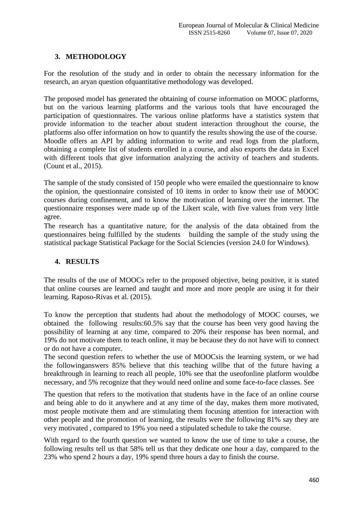### **3. METHODOLOGY**

For the resolution of the study and in order to obtain the necessary information for the research, an aryan question ofquantitative methodology was developed.

The proposed model has generated the obtaining of course information on MOOC platforms, but on the various learning platforms and the various tools that have encouraged the participation of questionnaires. The various online platforms have a statistics system that provide information to the teacher about student interaction throughout the course, the platforms also offer information on how to quantify the results showing the use of the course. Moodle offers an API by adding information to write and read logs from the platform, obtaining a complete list of students enrolled in a course, and also exports the data in Excel with different tools that give information analyzing the activity of teachers and students. (Count et al., 2015).

The sample of the study consisted of 150 people who were emailed the questionnaire to know the opinion, the questionnaire consisted of 10 items in order to know their use of MOOC courses during confinement, and to know the motivation of learning over the internet. The questionnaire responses were made up of the Likert scale, with five values from very little agree.

The research has a quantitative nature, for the analysis of the data obtained from the questionnaires being fulfilled by the students building the sample of the study using the statistical package Statistical Package for the Social Sciencies (version 24.0 for Windows).

### **4. RESULTS**

The results of the use of MOOCs refer to the proposed objective, being positive, it is stated that online courses are learned and taught and more and more people are using it for their learning. Raposo-Rivas et al. (2015).

To know the perception that students had about the methodology of MOOC courses, we obtained the following results:60.5% say that the course has been very good having the possibility of learning at any time, compared to 20% their response has been normal, and 19% do not motivate them to teach online, it may be because they do not have wifi to connect or do not have a computer.

The second question refers to whether the use of MOOCsis the learning system, or we had the followinganswers 85% believe that this teaching willbe that of the future having a breakthrough in learning to reach all people, 10% see that the useofonline platform wouldbe necessary, and 5% recognize that they would need online and some face-to-face classes. See

The question that refers to the motivation that students have in the face of an online course and being able to do it anywhere and at any time of the day, makes them more motivated, most people motivate them and are stimulating them focusing attention for interaction with other people and the promotion of learning, the results were the following 81% say they are very motivated , compared to 19% you need a stipulated schedule to take the course.

With regard to the fourth question we wanted to know the use of time to take a course, the following results tell us that 58% tell us that they dedicate one hour a day, compared to the 23% who spend 2 hours a day, 19% spend three hours a day to finish the course.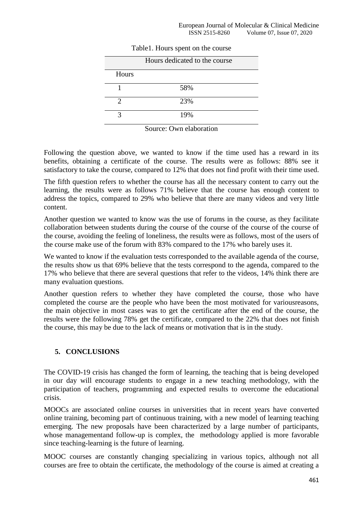|       | Hours dedicated to the course |
|-------|-------------------------------|
| Hours |                               |
|       | 58%                           |
| 7     | 23%                           |
|       | 19%                           |

Table1. Hours spent on the course

Source: Own elaboration

Following the question above, we wanted to know if the time used has a reward in its benefits, obtaining a certificate of the course. The results were as follows: 88% see it satisfactory to take the course, compared to 12% that does not find profit with their time used.

The fifth question refers to whether the course has all the necessary content to carry out the learning, the results were as follows 71% believe that the course has enough content to address the topics, compared to 29% who believe that there are many videos and very little content.

Another question we wanted to know was the use of forums in the course, as they facilitate collaboration between students during the course of the course of the course of the course of the course, avoiding the feeling of loneliness, the results were as follows, most of the users of the course make use of the forum with 83% compared to the 17% who barely uses it.

We wanted to know if the evaluation tests corresponded to the available agenda of the course, the results show us that 69% believe that the tests correspond to the agenda, compared to the 17% who believe that there are several questions that refer to the videos, 14% think there are many evaluation questions.

Another question refers to whether they have completed the course, those who have completed the course are the people who have been the most motivated for variousreasons, the main objective in most cases was to get the certificate after the end of the course, the results were the following 78% get the certificate, compared to the 22% that does not finish the course, this may be due to the lack of means or motivation that is in the study.

### **5. CONCLUSIONS**

The COVID-19 crisis has changed the form of learning, the teaching that is being developed in our day will encourage students to engage in a new teaching methodology, with the participation of teachers, programming and expected results to overcome the educational crisis.

MOOCs are associated online courses in universities that in recent years have converted online training, becoming part of continuous training, with a new model of learning teaching emerging. The new proposals have been characterized by a large number of participants, whose managementand follow-up is complex, the methodology applied is more favorable since teaching-learning is the future of learning.

MOOC courses are constantly changing specializing in various topics, although not all courses are free to obtain the certificate, the methodology of the course is aimed at creating a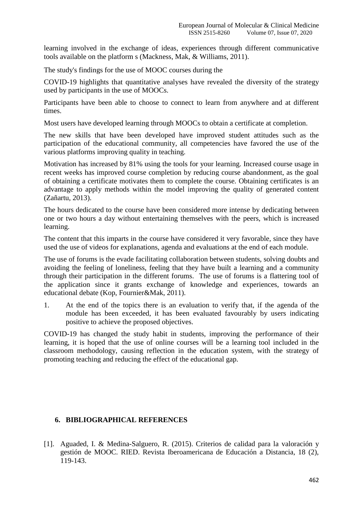learning involved in the exchange of ideas, experiences through different communicative tools available on the platform s (Mackness, Mak, & Williams, 2011).

The study's findings for the use of MOOC courses during the

COVID-19 highlights that quantitative analyses have revealed the diversity of the strategy used by participants in the use of MOOCs.

Participants have been able to choose to connect to learn from anywhere and at different times.

Most users have developed learning through MOOCs to obtain a certificate at completion.

The new skills that have been developed have improved student attitudes such as the participation of the educational community, all competencies have favored the use of the various platforms improving quality in teaching.

Motivation has increased by 81% using the tools for your learning. Increased course usage in recent weeks has improved course completion by reducing course abandonment, as the goal of obtaining a certificate motivates them to complete the course. Obtaining certificates is an advantage to apply methods within the model improving the quality of generated content (Zañartu, 2013).

The hours dedicated to the course have been considered more intense by dedicating between one or two hours a day without entertaining themselves with the peers, which is increased learning.

The content that this imparts in the course have considered it very favorable, since they have used the use of videos for explanations, agenda and evaluations at the end of each module.

The use of forums is the evade facilitating collaboration between students, solving doubts and avoiding the feeling of loneliness, feeling that they have built a learning and a community through their participation in the different forums. The use of forums is a flattering tool of the application since it grants exchange of knowledge and experiences, towards an educational debate (Kop, Fournier&Mak, 2011).

1. At the end of the topics there is an evaluation to verify that, if the agenda of the module has been exceeded, it has been evaluated favourably by users indicating positive to achieve the proposed objectives.

COVID-19 has changed the study habit in students, improving the performance of their learning, it is hoped that the use of online courses will be a learning tool included in the classroom methodology, causing reflection in the education system, with the strategy of promoting teaching and reducing the effect of the educational gap.

#### **6. BIBLIOGRAPHICAL REFERENCES**

[1]. Aguaded, I. & Medina-Salguero, R. (2015). Criterios de calidad para la valoración y gestión de MOOC. RIED. Revista Iberoamericana de Educación a Distancia, 18 (2), 119-143.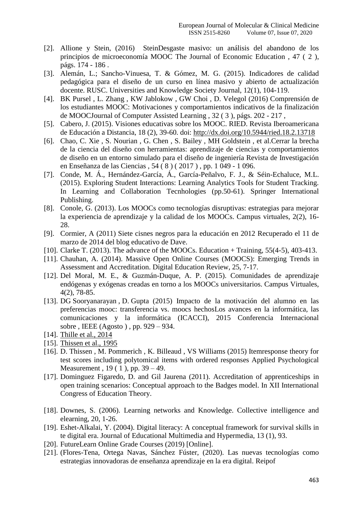- [2]. Allione y Stein, (2016) SteinDesgaste masivo: un análisis del abandono de los principios de microeconomía MOOC The Journal of Economic Education , 47 ( 2 ), págs. 174 - 186 .
- [3]. Alemán, L.; Sancho-Vinuesa, T. & Gómez, M. G. (2015). Indicadores de calidad pedagógica para el diseño de un curso en línea masivo y abierto de actualización docente. RUSC. Universities and Knowledge Society Journal, 12(1), 104-119.
- [4]. BK Pursel , L. Zhang , KW Jablokow , GW Choi , D. Velegol (2016) Comprensión de los estudiantes MOOC: Motivaciones y comportamientos indicativos de la finalización de MOOCJournal of Computer Assisted Learning , 32 ( 3 ), págs. 202 - 217 ,
- [5]. Cabero, J. (2015). Visiones educativas sobre los MOOC. RIED. Revista Iberoamericana de Educación a Distancia, 18 (2), 39-60. doi:<http://dx.doi.org/10.5944/ried.18.2.13718>
- [6]. Chao, C. Xie , S. Nourian , G. Chen , S. Bailey , MH Goldstein , et al.Cerrar la brecha de la ciencia del diseño con herramientas: aprendizaje de ciencias y comportamientos de diseño en un entorno simulado para el diseño de ingeniería Revista de Investigación en Enseñanza de las Ciencias , 54 ( 8 ) ( 2017 ) , pp. 1 049 - 1 096.
- [7]. Conde, M. Á., Hernández-García, Á., García-Peñalvo, F. J., & Séin-Echaluce, M.L. (2015). Exploring Student Interactions: Learning Analytics Tools for Student Tracking. In Learning and Collaboration Tecnhologies (pp.50-61). Springer International Publishing.
- [8]. Conole, G. (2013). Los MOOCs como tecnologías disruptivas: estrategias para mejorar la experiencia de aprendizaje y la calidad de los MOOCs. Campus virtuales, 2(2), 16- 28.
- [9]. Cormier, A (2011) Siete cisnes negros para la educación en 2012 Recuperado el 11 de marzo de 2014 del blog educativo de Dave.
- [10]. Clarke T. (2013). The advance of the MOOCs. Education + Training, 55(4-5), 403-413.
- [11]. Chauhan, A. (2014). Massive Open Online Courses (MOOCS): Emerging Trends in Assessment and Accreditation. Digital Education Review, 25, 7-17.
- [12]. Del Moral, M. E., & Guzmán-Duque, A. P. (2015). Comunidades de aprendizaje endógenas y exógenas creadas en torno a los MOOCs universitarios. Campus Virtuales, 4(2), 78-85.
- [13]. DG Sooryanarayan , D. Gupta (2015) Impacto de la motivación del alumno en las preferencias mooc: transferencia vs. moocs hechosLos avances en la informática, las comunicaciones y la informática (ICACCI), 2015 Conferencia Internacional sobre , IEEE (Agosto ) , pp. 929 – 934.
- [14]. [Thille et al., 2014](https://www.sciencedirect.com/science/article/pii/S0360131520300312?via%3Dihub#bbib75)
- [15]. [Thissen et al., 1995](https://www.sciencedirect.com/science/article/pii/S0360131520300312?via%3Dihub#bbib76)
- [16]. D. Thissen , M. Pommerich , K. Billeaud , VS Williams (2015) Itemresponse theory for test scores including polytomical items with ordered responses Applied Psychological Measurement , 19 ( 1 ), pp. 39 – 49.
- [17]. Dominguez Figaredo, D. and Gil Jaurena (2011). Accreditation of apprenticeships in open training scenarios: Conceptual approach to the Badges model. In XII International Congress of Education Theory.
- [18]. Downes, S. (2006). Learning networks and Knowledge. Collective intelligence and elearning, 20, 1-26.
- [19]. Eshet-Alkalai, Y. (2004). Digital literacy: A conceptual framework for survival skills in te digital era. Journal of Educational Multimedia and Hypermedia, 13 (1), 93.
- [20]. FutureLearn Online Grade Courses (2019) [Online].
- [21]. (Flores-Tena, Ortega Navas, Sánchez Fúster, (2020). Las nuevas tecnologías como estrategias innovadoras de enseñanza aprendizaje en la era digital. Reipof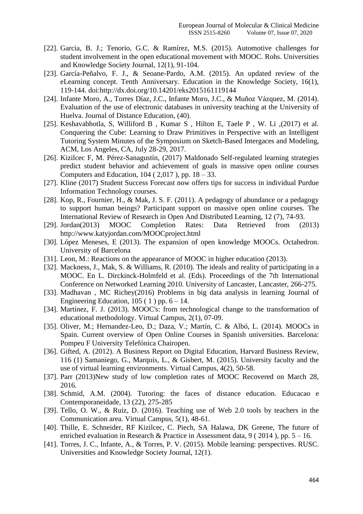- [22]. Garcia, B. J.; Tenorio, G.C. & Ramírez, M.S. (2015). Automotive challenges for student involvement in the open educational movement with MOOC. Rohs. Universities and Knowledge Society Journal, 12(1), 91-104.
- [23]. García-Peñalvo, F. J., & Seoane-Pardo, A.M. (2015). An updated review of the eLearning concept. Tenth Anniversary. Education in the Knowledge Society, 16(1), 119-144. doi:http://dx.doi.org/10.14201/eks2015161119144
- [24]. Infante Moro, A., Torres Díaz, J.C., Infante Moro, J.C., & Muñoz Vázquez, M. (2014). Evaluation of the use of electronic databases in university teaching at the University of Huelva. Journal of Distance Education, (40).
- [25]. Keshavabhotla, S, Williford B , Kumar S , Hilton E, Taele P , W. Li ,(2017) et al. Conquering the Cube: Learning to Draw Primitives in Perspective with an Intelligent Tutoring System Minutes of the Symposium on Sketch-Based Intergaces and Modeling, ACM, Los Angeles, CA, July 28-29, 2017.
- [26]. Kizilcec F, M. Pérez-Sanagustín, (2017) Maldonado Self-regulated learning strategies predict student behavior and achievement of goals in massive open online courses Computers and Education,  $104$  (  $2,017$  ), pp.  $18 - 33$ .
- [27]. Kline (2017) Student Success Forecast now offers tips for success in individual Purdue Information Technology courses.
- [28]. Kop, R., Fournier, H., & Mak, J. S. F. (2011). A pedagogy of abundance or a pedagogy to support human beings? Participant support on massive open online courses. The International Review of Research in Open And Distributed Learning, 12 (7), 74-93.
- [29]. Jordan(2013) MOOC Completion Rates: Data Retrieved from (2013) http://www.katyjordan.com/MOOCproject.html
- [30]. López Meneses, E (2013). The expansion of open knowledge MOOCs. Octahedron. University of Barcelona
- [31]. Leon, M.: Reactions on the appearance of MOOC in higher education (2013).
- [32]. Mackness, J., Mak, S. & Williams, R. (2010). The ideals and reality of participating in a MOOC. En L. Dirckinck-Holmfeld et al. (Eds). Proceedings of the 7th International Conference on Networked Learning 2010. University of Lancaster, Lancaster, 266-275.
- [33]. Madhavan , MC Richey(2016) Problems in big data analysis in learning Journal of Engineering Education,  $105(1)$  pp.  $6 - 14$ .
- [34]. Martínez, F. J. (2013). MOOC's: from technological change to the transformation of educational methodology. Virtual Campus, 2(1), 07-09.
- [35]. Oliver, M.; Hernandez-Leo, D.; Daza, V.; Martín, C. & Albó, L. (2014). MOOCs in Spain. Current overview of Open Online Courses in Spanish universities. Barcelona: Pompeu F University Telefónica Chairopen.
- [36]. Gifted, A. (2012). A Business Report on Digital Education, Harvard Business Review, 116 (1) Samaniego, G., Marquis, L., & Gisbert, M. (2015). University faculty and the use of virtual learning environments. Virtual Campus, 4(2), 50-58.
- [37]. Parr (2013)New study of low completion rates of MOOC Recovered on March 28, 2016.
- [38]. Schmid, A.M. (2004). Tutoring: the faces of distance education. Educacao e Contemporaneidade, 13 (22), 275-285
- [39]. Tello, O. W., & Ruiz, D. (2016). Teaching use of Web 2.0 tools by teachers in the Communication area. Virtual Campus, 5(1), 48-61.
- [40]. Thille, E. Schneider, RF Kizilcec, C. Piech, SA Halawa, DK Greene, The future of enriched evaluation in Research & Practice in Assessment data, 9 ( 2014 ), pp. 5 – 16.
- [41]. Torres, J. C., Infante, A., & Torres, P. V. (2015). Mobile learning: perspectives. RUSC. Universities and Knowledge Society Journal, 12(1).